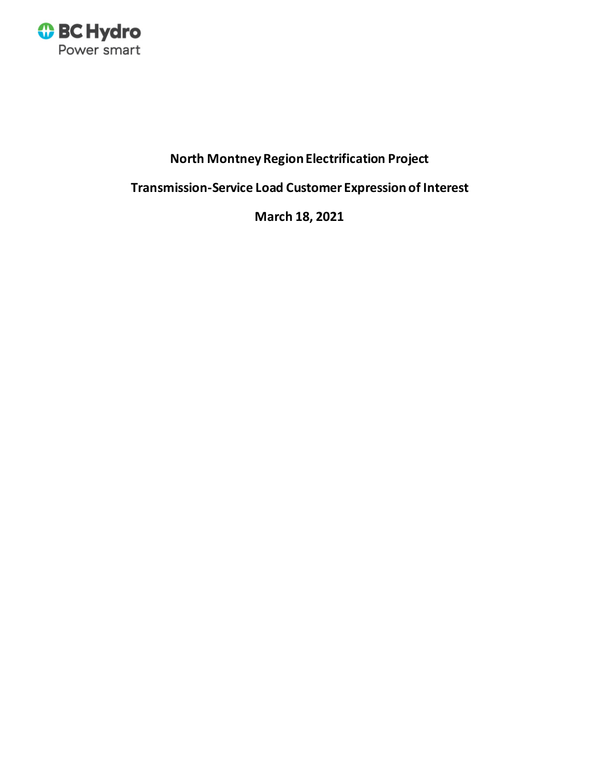

# **North Montney Region Electrification Project**

**Transmission-Service Load Customer Expression of Interest**

**March 18, 2021**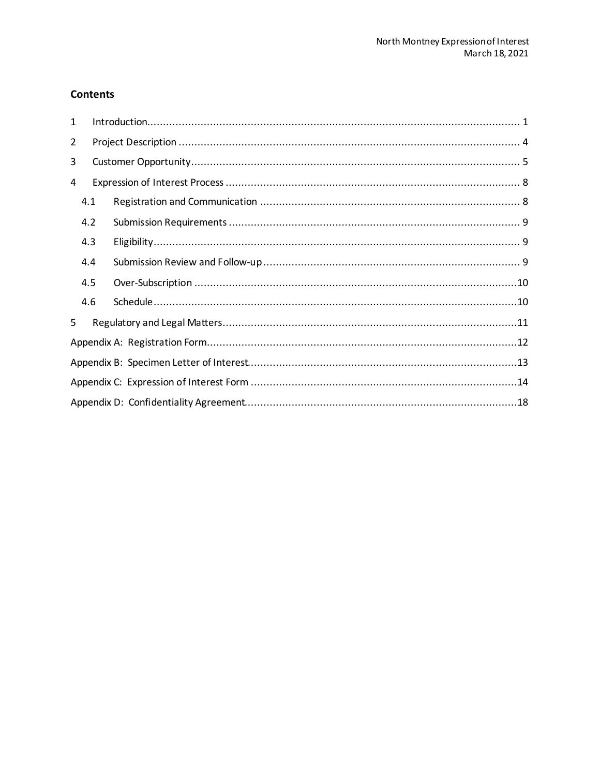## **Contents**

| 1              |     |  |  |  |  |  |  |
|----------------|-----|--|--|--|--|--|--|
| $\overline{2}$ |     |  |  |  |  |  |  |
| 3              |     |  |  |  |  |  |  |
| 4              |     |  |  |  |  |  |  |
|                | 4.1 |  |  |  |  |  |  |
|                | 4.2 |  |  |  |  |  |  |
|                | 4.3 |  |  |  |  |  |  |
|                | 4.4 |  |  |  |  |  |  |
|                | 4.5 |  |  |  |  |  |  |
|                | 4.6 |  |  |  |  |  |  |
| 5              |     |  |  |  |  |  |  |
|                |     |  |  |  |  |  |  |
|                |     |  |  |  |  |  |  |
|                |     |  |  |  |  |  |  |
|                |     |  |  |  |  |  |  |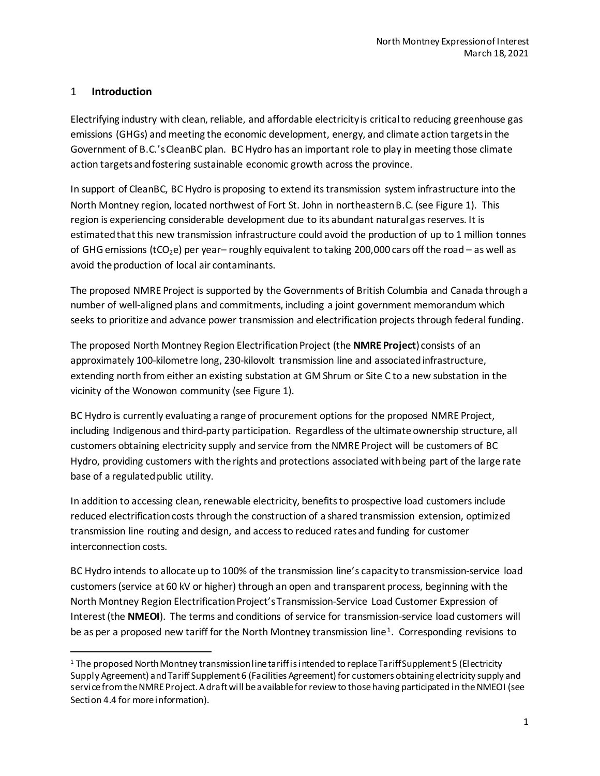# <span id="page-2-0"></span>1 **Introduction**

Electrifying industry with clean, reliable, and affordable electricity is critical to reducing greenhouse gas emissions (GHGs) and meeting the economic development, energy, and climate action targets in the Government of B.C.'s CleanBC plan. BC Hydro has an important role to play in meeting those climate action targets and fostering sustainable economic growth across the province.

In support of CleanBC, BC Hydro is proposing to extend itstransmission system infrastructure into the North Montney region, located northwest of Fort St. John in northeastern B.C. (see Figure 1). This region is experiencing considerable development due to its abundant natural gas reserves. It is estimated that this new transmission infrastructure could avoid the production of up to 1 million tonnes of GHG emissions (tCO<sub>2</sub>e) per year– roughly equivalent to taking 200,000 cars off the road – as well as avoid the production of local air contaminants.

The proposed NMRE Project is supported by the Governments of British Columbia and Canada through a number of well-aligned plans and commitments, including a joint government memorandum which seeks to prioritize and advance power transmission and electrification projects through federal funding.

The proposed North Montney Region ElectrificationProject (the **NMRE Project**) consists of an approximately 100-kilometre long, 230-kilovolt transmission line and associated infrastructure, extending north from either an existing substation at GM Shrum or Site C to a new substation in the vicinity of the Wonowon community (see Figure 1).

BC Hydro is currently evaluating a range of procurement options for the proposed NMRE Project, including Indigenous and third-party participation. Regardless of the ultimate ownership structure, all customers obtaining electricity supply and service from the NMRE Project will be customers of BC Hydro, providing customers with the rights and protections associated with being part of the large rate base of a regulated public utility.

In addition to accessing clean, renewable electricity, benefits to prospective load customers include reduced electrification costs through the construction of a shared transmission extension, optimized transmission line routing and design, and access to reduced rates and funding for customer interconnection costs.

BC Hydro intends to allocate up to 100% of the transmission line's capacity to transmission-service load customers(service at 60 kV or higher) through an open and transparent process, beginning with the North Montney Region Electrification Project's Transmission-Service Load Customer Expression of Interest (the **NMEOI**). The terms and conditions of service for transmission-service load customers will be as per a proposed new tariff for the North Montney transmission line<sup>[1](#page-2-1)</sup>. Corresponding revisions to

<span id="page-2-1"></span> <sup>1</sup> The proposed North Montney transmission line tariff is intended to replace Tariff Supplement 5 (Electricity Supply Agreement) and Tariff Supplement 6 (Facilities Agreement) for customers obtaining electricity supply and service from the NMRE Project. A draft will be available for review to those having participated in the NMEOI (see Section 4.4 for more information).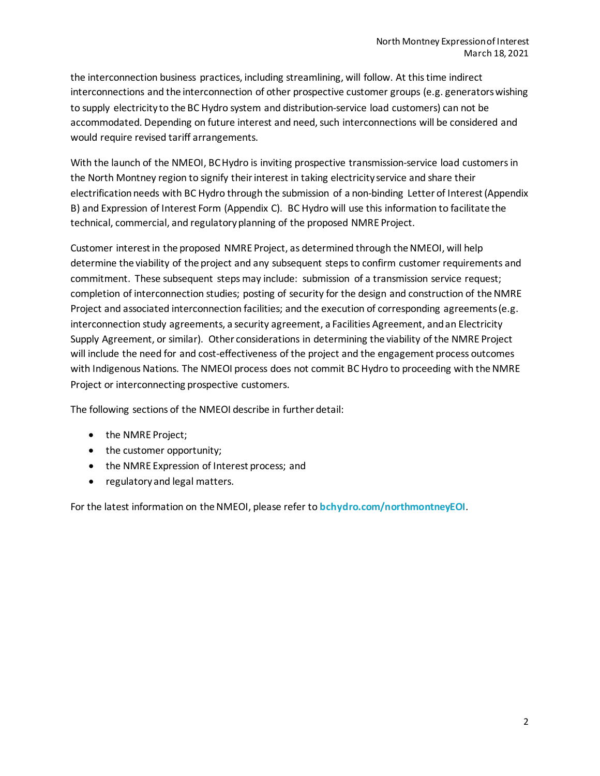the interconnection business practices, including streamlining, will follow. At this time indirect interconnections and the interconnection of other prospective customer groups (e.g. generators wishing to supply electricity to the BC Hydro system and distribution-service load customers) can not be accommodated. Depending on future interest and need, such interconnections will be considered and would require revised tariff arrangements.

With the launch of the NMEOI, BC Hydro is inviting prospective transmission-service load customers in the North Montney region to signify their interest in taking electricity service and share their electrification needs with BC Hydro through the submission of a non-binding Letter of Interest (Appendix B) and Expression of Interest Form (Appendix C). BC Hydro will use this information to facilitate the technical, commercial, and regulatoryplanning of the proposed NMRE Project.

Customer interest in the proposed NMRE Project, as determined through the NMEOI, will help determine the viability of the project and any subsequent steps to confirm customer requirements and commitment. These subsequent steps may include: submission of a transmission service request; completion of interconnection studies; posting of security for the design and construction of the NMRE Project and associated interconnection facilities; and the execution of corresponding agreements(e.g. interconnection study agreements, a security agreement, a Facilities Agreement, andan Electricity Supply Agreement, or similar). Other considerations in determining the viability of the NMRE Project will include the need for and cost-effectiveness of the project and the engagement process outcomes with Indigenous Nations. The NMEOI process does not commit BC Hydro to proceeding with the NMRE Project or interconnecting prospective customers.

The following sections of the NMEOI describe in further detail:

- the NMRE Project;
- the customer opportunity;
- the NMRE Expression of Interest process; and
- regulatoryand legal matters.

For the latest information on the NMEOI, please refer to **[bchydro.com/northmontneyEOI](https://www.bchydro.com/work-with-us/connect-to-our-grid/north-montney-eoi.html)**.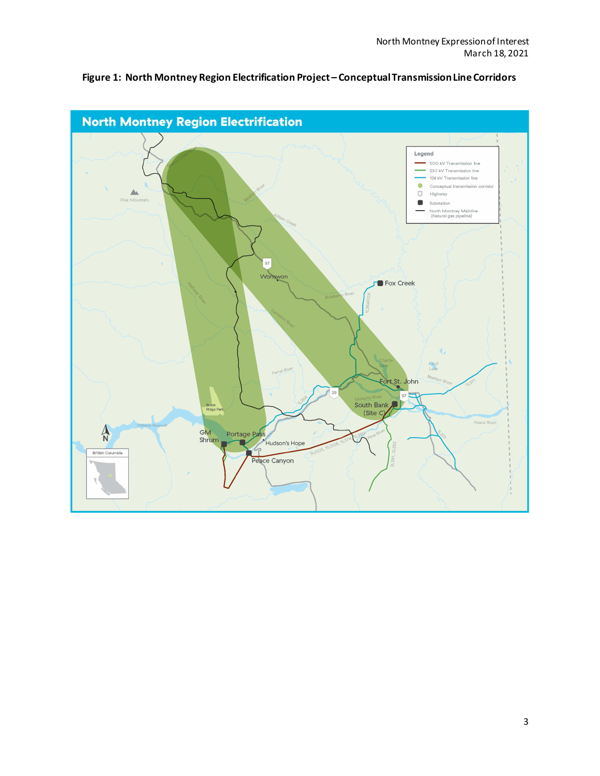

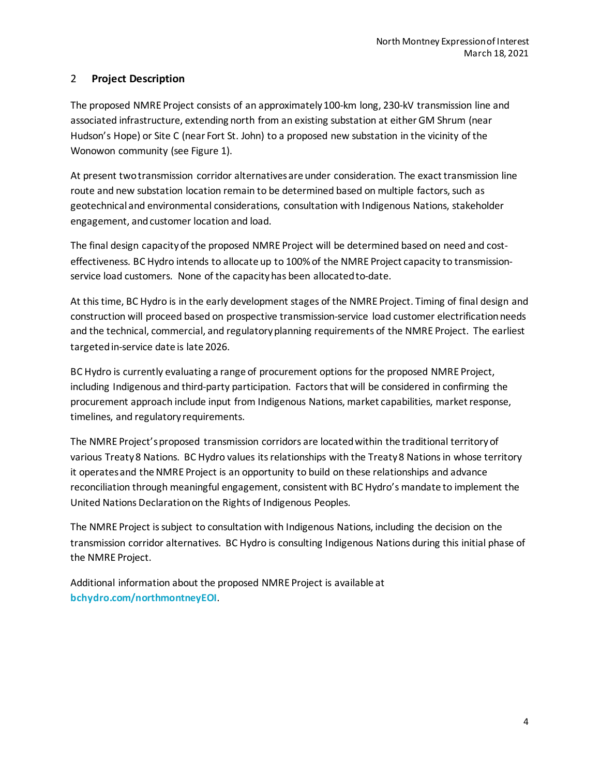# <span id="page-5-0"></span>2 **Project Description**

The proposed NMRE Project consists of an approximately 100-km long, 230-kV transmission line and associated infrastructure, extending north from an existing substation at either GM Shrum (near Hudson's Hope) or Site C (near Fort St. John) to a proposed new substation in the vicinity of the Wonowon community (see Figure 1).

At present twotransmission corridor alternatives are under consideration. The exact transmission line route and new substation location remain to be determined based on multiple factors, such as geotechnical and environmental considerations, consultation with Indigenous Nations, stakeholder engagement, and customer location and load.

The final design capacity of the proposed NMRE Project will be determined based on need and costeffectiveness. BC Hydro intends to allocate up to 100% of the NMRE Project capacity to transmissionservice load customers. None of the capacity has been allocated to-date.

At this time, BC Hydro is in the early development stages of the NMRE Project. Timing of final design and construction will proceed based on prospective transmission-service load customer electrification needs and the technical, commercial, and regulatory planning requirements of the NMRE Project. The earliest targetedin-service date is late 2026.

BC Hydro is currently evaluating a range of procurement options for the proposed NMRE Project, including Indigenous and third-party participation. Factors that will be considered in confirming the procurement approach include input from Indigenous Nations, market capabilities, market response, timelines, and regulatory requirements.

The NMRE Project's proposed transmission corridors are located within the traditional territory of various Treaty 8 Nations. BC Hydro values its relationships with the Treaty 8 Nations in whose territory it operatesand the NMRE Project is an opportunity to build on these relationships and advance reconciliation through meaningful engagement, consistent with BC Hydro's mandate to implement the United Nations Declaration on the Rights of Indigenous Peoples.

The NMRE Project is subject to consultation with Indigenous Nations, including the decision on the transmission corridor alternatives. BC Hydro is consulting Indigenous Nations during this initial phase of the NMRE Project.

Additional information about the proposed NMRE Project is available at **[bchydro.com/northmontneyEOI](https://www.bchydro.com/work-with-us/connect-to-our-grid/north-montney-eoi.html)**.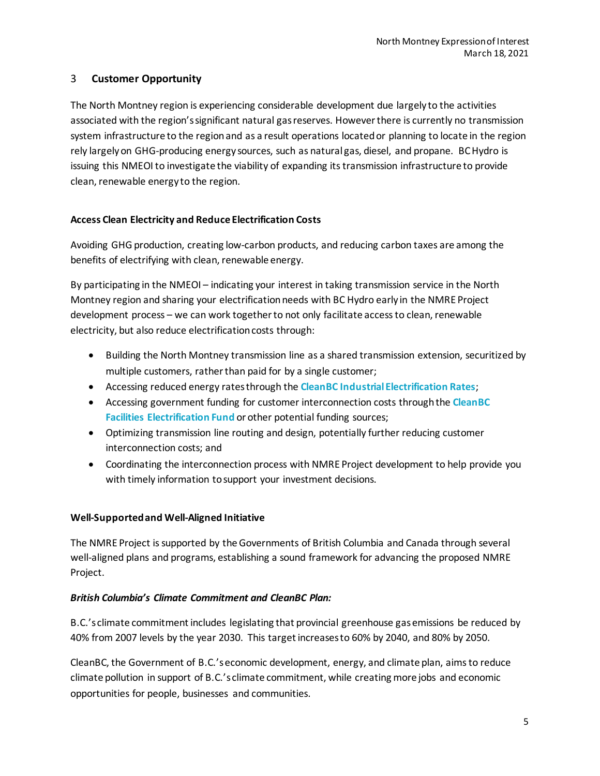# <span id="page-6-0"></span>3 **Customer Opportunity**

The North Montney region is experiencing considerable development due largely to the activities associated with the region's significant natural gas reserves. However there is currently no transmission system infrastructure to the region and as a result operations located or planning to locate in the region rely largely on GHG-producing energy sources, such as natural gas, diesel, and propane. BC Hydro is issuing this NMEOI to investigate the viability of expanding its transmission infrastructure to provide clean, renewable energy to the region.

#### **Access Clean Electricity and Reduce Electrification Costs**

Avoiding GHG production, creating low-carbon products, and reducing carbon taxes are among the benefits of electrifying with clean, renewable energy.

By participating in the NMEOI – indicating your interest in taking transmission service in the North Montney region and sharing your electrification needs with BC Hydro early in the NMRE Project development process – we can work together to not only facilitate access to clean, renewable electricity, but also reduce electrification costs through:

- Building the North Montney transmission line as a shared transmission extension, securitized by multiple customers, rather than paid for by a single customer;
- Accessing reduced energy rates through the **[CleanBC Industrial Electrification Rates](https://app.bchydro.com/accounts-billing/rates-energy-use/electricity-rates/electrification-rates.html)**;
- Accessing government funding for customer interconnection costs through the **[CleanBC](http://www.bchydro.com/electrificationfund)  [Facilities Electrification Fund](http://www.bchydro.com/electrificationfund)** or other potential funding sources;
- Optimizing transmission line routing and design, potentially further reducing customer interconnection costs; and
- Coordinating the interconnection process with NMRE Project development to help provide you with timely information tosupport your investment decisions.

## **Well-Supported and Well-Aligned Initiative**

The NMRE Project is supported by the Governments of British Columbia and Canada through several well-aligned plans and programs, establishing a sound framework for advancing the proposed NMRE Project.

## *British Columbia's Climate Commitment and CleanBC Plan:*

B.C.'s climate commitment includes legislating that provincial greenhouse gas emissions be reduced by 40% from 2007 levels by the year 2030. This target increases to 60% by 2040, and 80% by 2050.

CleanBC, the Government of B.C.'seconomic development, energy, and climate plan, aims to reduce climate pollution in support of B.C.'s climate commitment, while creating more jobs and economic opportunities for people, businesses and communities.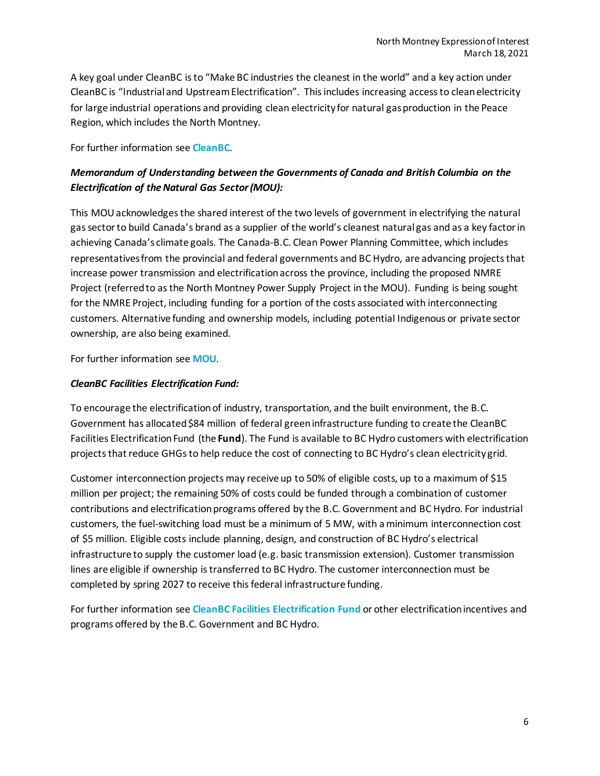A key goal under CleanBC is to "Make BC industries the cleanest in the world" and a key action under CleanBC is "Industrial and Upstream Electrification". This includes increasing access to clean electricity for large industrial operations and providing clean electricity for natural gas production in the Peace Region, which includes the North Montney.

For further information see **[CleanBC](https://cleanbc.gov.bc.ca/)**.

# *Memorandum of Understanding between the Governments of Canada and British Columbia on the Electrification of the Natural Gas Sector (MOU):*

This MOU acknowledges the shared interest of the two levels of government in electrifying the natural gas sector to build Canada's brand as a supplier of the world's cleanest natural gas and as a key factor in achieving Canada's climate goals. The Canada-B.C. Clean Power Planning Committee, which includes representatives from the provincial and federal governments and BC Hydro, are advancing projects that increase power transmission and electrification across the province, including the proposed NMRE Project (referred to as the North Montney Power Supply Project in the MOU). Funding is being sought for the NMRE Project, including funding for a portion of the costs associated with interconnecting customers. Alternative funding and ownership models, including potential Indigenous or private sector ownership, are also being examined.

For further information see **[MOU](https://pm.gc.ca/en/news/backgrounders/2019/08/29/memorandum-understanding-between-government-canada-and-government)**.

## *CleanBC Facilities Electrification Fund:*

To encourage the electrification of industry, transportation, and the built environment, the B.C. Government has allocated \$84 million of federal green infrastructure funding to create the CleanBC Facilities Electrification Fund (the **Fund**). The Fund is available to BC Hydro customers with electrification projects that reduce GHGs to help reduce the cost of connecting to BC Hydro's clean electricity grid.

Customer interconnection projects may receive up to 50% of eligible costs, up to a maximum of \$15 million per project; the remaining 50% of costs could be funded through a combination of customer contributions and electrification programs offered by the B.C. Government and BC Hydro. For industrial customers, the fuel-switching load must be a minimum of 5 MW, with a minimum interconnection cost of \$5 million. Eligible costs include planning, design, and construction of BC Hydro's electrical infrastructure to supply the customer load (e.g. basic transmission extension). Customer transmission lines are eligible if ownership is transferred to BC Hydro. The customer interconnection must be completed by spring 2027 to receive this federal infrastructure funding.

For further information see **[CleanBC Facilities Electrification Fund](http://www.bchydro.com/electrificationfund)** or other electrification incentives and programs offered by the B.C. Government and BC Hydro.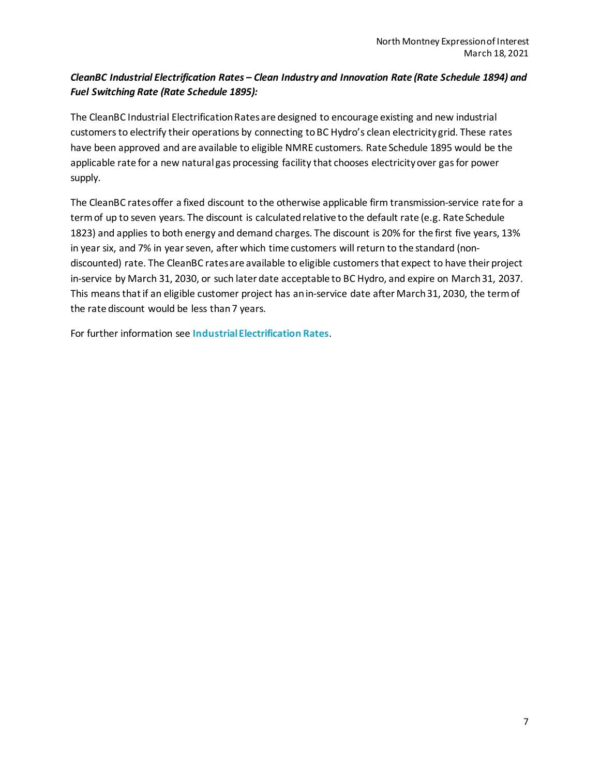# *CleanBC Industrial Electrification Rates – Clean Industry and Innovation Rate (Rate Schedule 1894) and Fuel Switching Rate (Rate Schedule 1895):*

The CleanBC Industrial Electrification Rates are designed to encourage existing and new industrial customers to electrify their operations by connecting toBC Hydro's clean electricity grid. These rates have been approved and are available to eligible NMRE customers. Rate Schedule 1895 would be the applicable rate for a new natural gas processing facility that chooses electricity over gas for power supply.

The CleanBC ratesoffer a fixed discount to the otherwise applicable firm transmission-service rate for a term of up to seven years. The discount is calculated relative to the default rate (e.g. Rate Schedule 1823) and applies to both energy and demand charges. The discount is 20% for the first five years, 13% in year six, and 7% in year seven, after which time customers will return to the standard (nondiscounted) rate. The CleanBC ratesare available to eligible customers that expect to have their project in-service by March 31, 2030, or such later date acceptable to BC Hydro, and expire on March 31, 2037. This means that if an eligible customer project has an in-service date after March 31, 2030, the term of the rate discount would be less than 7 years.

For further information see **[Industrial Electrification Rates](https://app.bchydro.com/accounts-billing/rates-energy-use/electricity-rates/electrification-rates.html)**.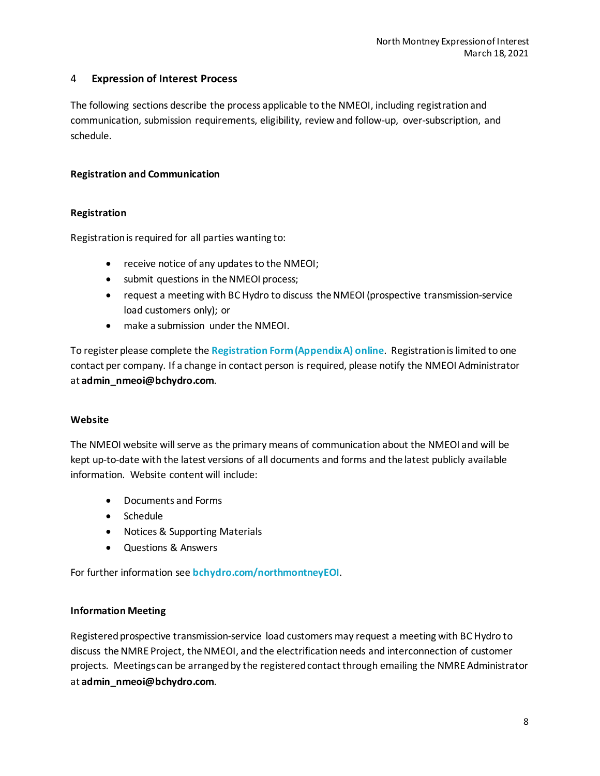# <span id="page-9-0"></span>4 **Expression of Interest Process**

The following sections describe the process applicable to the NMEOI, including registration and communication, submission requirements, eligibility, review and follow-up, over-subscription, and schedule.

#### <span id="page-9-1"></span>**Registration and Communication**

#### **Registration**

Registration is required for all parties wanting to:

- receive notice of any updates to the NMEOI;
- submit questions in the NMEOI process;
- request a meeting with BC Hydro to discuss the NMEOI (prospective transmission-service load customers only); or
- make a submission under the NMEOI.

To register please complete the **[Registration Form \(Appendix A\)](https://www.bchydro.com/work-with-us/connect-to-our-grid/north-montney-eoi/eoi.html) online**. Registration is limited to one contact per company. If a change in contact person is required, please notify the NMEOI Administrator at **[admin\\_nmeoi@bchydro.com](mailto:admin_nmeoi@bchydro.com)**.

#### **Website**

The NMEOI website will serve as the primary means of communication about the NMEOI and will be kept up-to-date with the latest versions of all documents and forms and the latest publicly available information. Website content will include:

- Documents and Forms
- Schedule
- Notices & Supporting Materials
- Questions & Answers

For further information see **[bchydro.com/northmontneyEOI](https://www.bchydro.com/work-with-us/connect-to-our-grid/north-montney-eoi.html)**.

#### **Information Meeting**

Registered prospective transmission-service load customers may request a meeting with BC Hydro to discuss the NMRE Project, the NMEOI, and the electrification needs and interconnection of customer projects. Meetings can be arrangedby the registered contact through emailing the NMRE Administrator at **[admin\\_nmeoi@bchydro.com](mailto:admin_nmeoi@bchydro.com)**.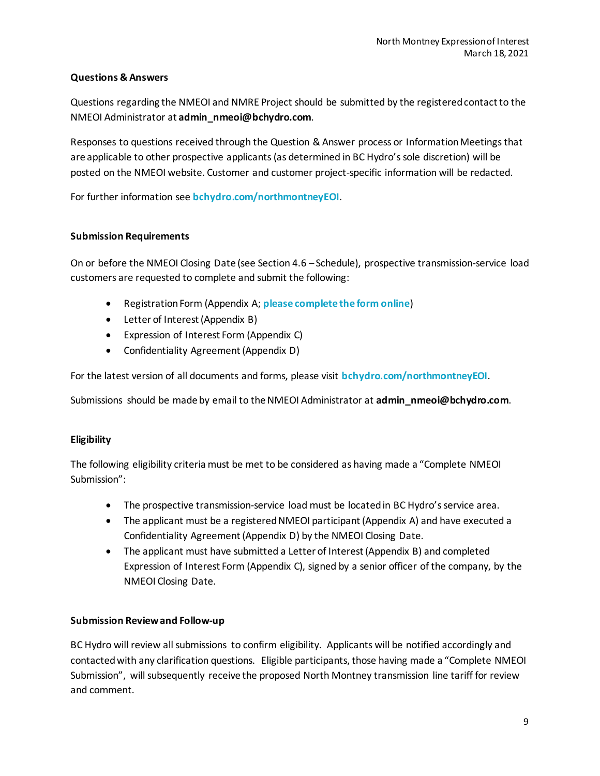## **Questions & Answers**

Questions regarding the NMEOI and NMRE Project should be submitted by the registered contact to the NMEOI Administrator at **[admin\\_nmeoi@bchydro.com](mailto:admin_nmeoi@bchydro.com)**.

Responses to questions received through the Question & Answer process or Information Meetingsthat are applicable to other prospective applicants(as determined in BC Hydro's sole discretion) will be posted on the NMEOI website. Customer and customer project-specific information will be redacted.

For further information see **[bchydro.com/northmontneyEOI](https://www.bchydro.com/work-with-us/connect-to-our-grid/north-montney-eoi.html)**.

#### <span id="page-10-0"></span>**Submission Requirements**

On or before the NMEOI Closing Date (see Section 4.6 – Schedule), prospective transmission-service load customers are requested to complete and submit the following:

- Registration Form (Appendix A; **[please complete](https://www.bchydro.com/work-with-us/connect-to-our-grid/north-montney-eoi/eoi.html) the form online**)
- Letter of Interest (Appendix B)
- Expression of Interest Form (Appendix C)
- Confidentiality Agreement (Appendix D)

For the latest version of all documents and forms, please visit **[bchydro.com/northmontneyEOI](https://www.bchydro.com/work-with-us/connect-to-our-grid/north-montney-eoi.html)**.

Submissions should be made by email to the NMEOI Administrator at **[admin\\_nmeoi@bchydro.com](mailto:admin_nmeoi@bchydro.com)**.

## <span id="page-10-1"></span>**Eligibility**

The following eligibility criteria must be met to be considered as having made a "Complete NMEOI Submission":

- The prospective transmission-service load must be located in BC Hydro's service area.
- The applicant must be a registered NMEOI participant (Appendix A) and have executed a Confidentiality Agreement (Appendix D) by the NMEOI Closing Date.
- The applicant must have submitted a Letter of Interest (Appendix B) and completed Expression of Interest Form (Appendix C), signed by a senior officer of the company, by the NMEOI Closing Date.

#### <span id="page-10-2"></span>**Submission Reviewand Follow-up**

BC Hydro will review all submissions to confirm eligibility. Applicants will be notified accordingly and contacted with any clarification questions. Eligible participants, those having made a "Complete NMEOI Submission", will subsequently receive the proposed North Montney transmission line tariff for review and comment.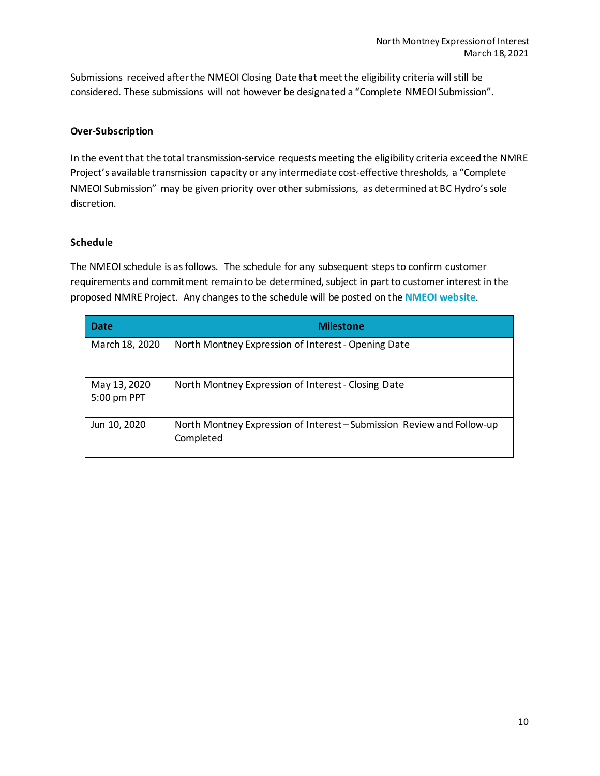Submissions received after the NMEOI Closing Date that meet the eligibility criteria will still be considered. These submissions will not however be designated a "Complete NMEOI Submission".

#### <span id="page-11-0"></span>**Over-Subscription**

In the event that the total transmission-service requests meeting the eligibility criteria exceedthe NMRE Project's available transmission capacity or any intermediate cost-effective thresholds, a "Complete NMEOI Submission" may be given priority over other submissions, as determined at BC Hydro's sole discretion.

#### <span id="page-11-1"></span>**Schedule**

The NMEOI schedule is as follows. The schedule for any subsequent steps to confirm customer requirements and commitment remain to be determined, subject in part to customer interest in the proposed NMRE Project. Any changes to the schedule will be posted on the **[NMEOI website](https://www.bchydro.com/work-with-us/connect-to-our-grid/north-montney-eoi.html)**.

| <b>Date</b>                 | <b>Milestone</b>                                                                    |  |  |  |  |
|-----------------------------|-------------------------------------------------------------------------------------|--|--|--|--|
| March 18, 2020              | North Montney Expression of Interest - Opening Date                                 |  |  |  |  |
| May 13, 2020<br>5:00 pm PPT | North Montney Expression of Interest - Closing Date                                 |  |  |  |  |
| Jun 10, 2020                | North Montney Expression of Interest – Submission Review and Follow-up<br>Completed |  |  |  |  |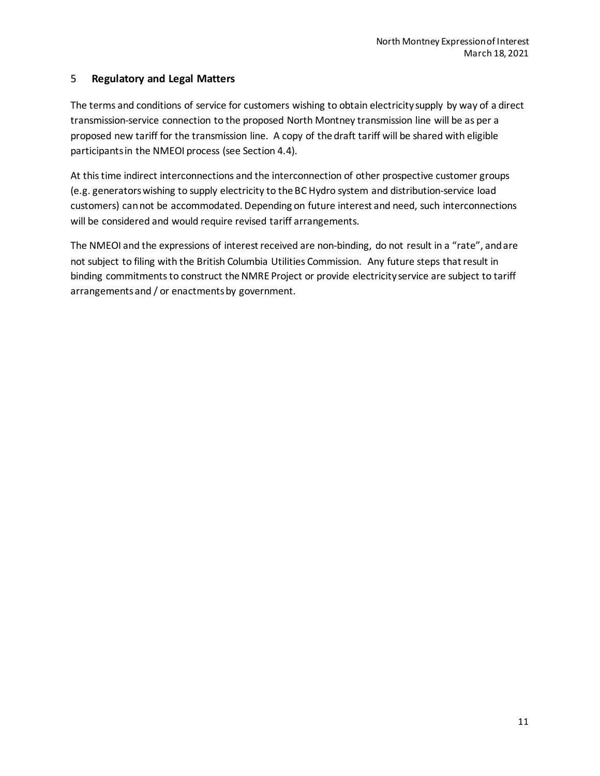# <span id="page-12-0"></span>5 **Regulatory and Legal Matters**

The terms and conditions of service for customers wishing to obtain electricity supply by way of a direct transmission-service connection to the proposed North Montney transmission line will be as per a proposed new tariff for the transmission line. A copy of the draft tariff will be shared with eligible participants in the NMEOI process (see Section 4.4).

At this time indirect interconnections and the interconnection of other prospective customer groups (e.g. generators wishing to supply electricity to the BC Hydro system and distribution-service load customers) can not be accommodated. Depending on future interest and need, such interconnections will be considered and would require revised tariff arrangements.

The NMEOI and the expressions of interest received are non-binding, do not result in a "rate", and are not subject to filing with the British Columbia Utilities Commission. Any future steps that result in binding commitments to construct the NMRE Project or provide electricity service are subject to tariff arrangements and / or enactments by government.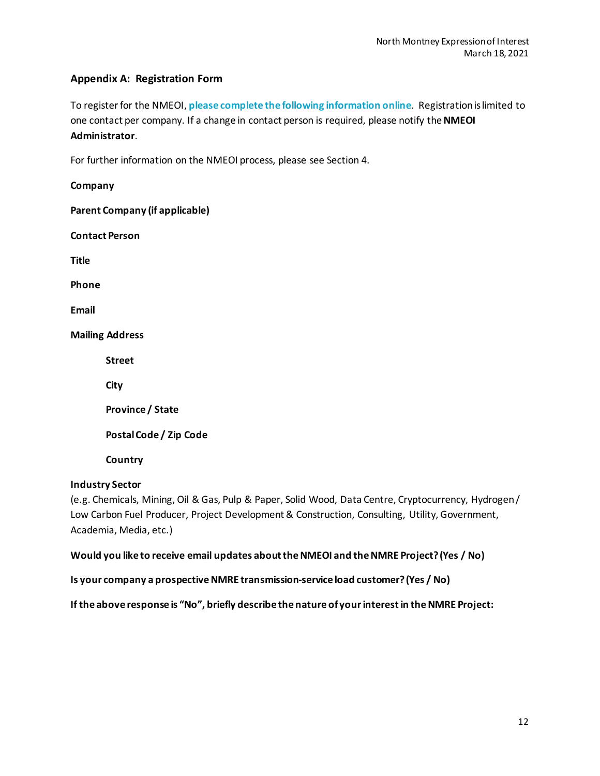# <span id="page-13-0"></span>**Appendix A: Registration Form**

To register for the NMEOI, **[please complete the](https://www.bchydro.com/work-with-us/connect-to-our-grid/north-montney-eoi/eoi.html) following information online**. Registration is limited to one contact per company. If a change in contact person is required, please notify the **[NMEOI](mailto:admin_nmeoi@bchydro.com)  [Administrator](mailto:admin_nmeoi@bchydro.com)**.

For further information on the NMEOI process, please see Section 4.

**Company Parent Company (if applicable) Contact Person Title Phone Email Mailing Address Street City Province / State Postal Code / Zip Code Country**

#### **Industry Sector**

(e.g. Chemicals, Mining, Oil & Gas, Pulp & Paper, Solid Wood, Data Centre, Cryptocurrency, Hydrogen / Low Carbon Fuel Producer, Project Development & Construction, Consulting, Utility, Government, Academia, Media, etc.)

**Would you like to receive email updates aboutthe NMEOI and the NMRE Project? (Yes / No)**

**Is your company a prospective NMRE transmission-service load customer?(Yes / No)**

**If the above response is "No", briefly describe the nature of your interest in the NMRE Project:**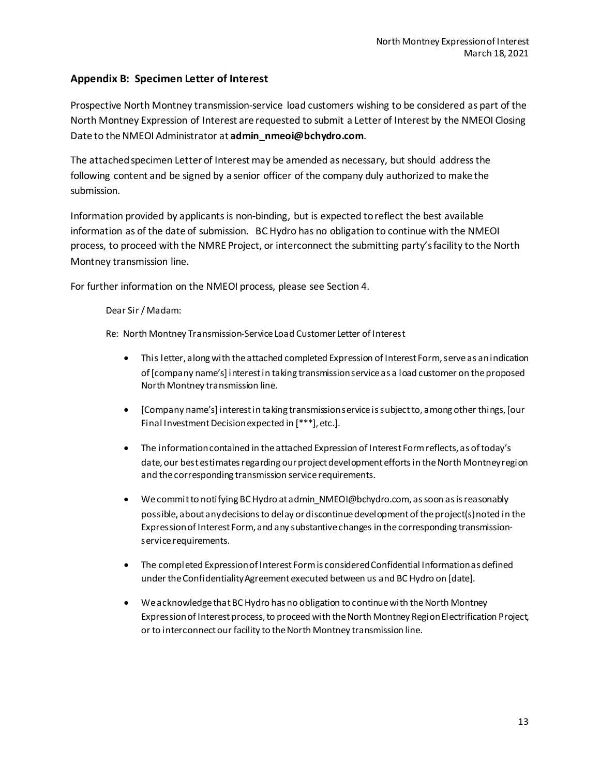# <span id="page-14-0"></span>**Appendix B: Specimen Letter of Interest**

Prospective North Montney transmission-service load customers wishing to be considered as part of the North Montney Expression of Interest are requested to submit a Letter of Interest by the NMEOI Closing Date to the NMEOI Administrator at **[admin\\_nmeoi@bchydro.com](mailto:admin_nmeoi@bchydro.com)**.

The attached specimen Letter of Interest may be amended as necessary, but should address the following content and be signed by a senior officer of the company duly authorized to make the submission.

Information provided by applicants is non-binding, but is expected to reflect the best available information as of the date of submission. BC Hydro has no obligation to continue with the NMEOI process, to proceed with the NMRE Project, or interconnect the submitting party's facility to the North Montney transmission line.

For further information on the NMEOI process, please see Section 4.

#### Dear Sir / Madam:

Re: North Montney Transmission-Service Load Customer Letter of Interest

- This letter, along with the attached completed Expression of Interest Form, serve as an indication of [company name's] interestin taking transmission service as a load customer on the proposed North Montney transmission line.
- [Company name's] interest in taking transmission service is subject to, among other things, [our Final Investment Decision expected in [\*\*\*], etc.].
- The information contained in the attached Expression of Interest Formreflects, as of today's date, our best estimates regarding our project development efforts in the North Montney region and the corresponding transmission service requirements.
- We commit to notifying BC Hydro at admin\_NMEOI@bchydro.com, as soon as is reasonably possible, about any decisions to delay or discontinue development of the project(s)noted in the Expression of Interest Form, and any substantive changes in the corresponding transmissionservice requirements.
- The completed Expression of Interest Form is considered Confidential Information as defined under the Confidentiality Agreement executed between us and BC Hydro on [date].
- We acknowledge that BC Hydro has no obligation to continue with the North Montney Expression of Interest process, to proceed with the North Montney Region Electrification Project, or to interconnect our facility to the North Montney transmission line.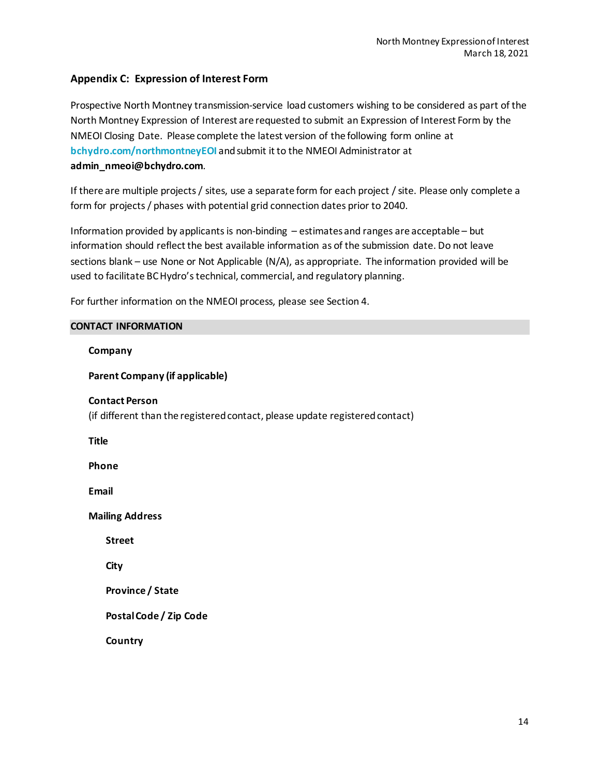## <span id="page-15-0"></span>**Appendix C: Expression of Interest Form**

Prospective North Montney transmission-service load customers wishing to be considered as part of the North Montney Expression of Interest are requested to submit an Expression of Interest Form by the NMEOI Closing Date. Please complete the latest version of the following form online at **[bchydro.com/northmontneyEOI](https://www.bchydro.com/work-with-us/connect-to-our-grid/north-montney-eoi.html)** and submit it to the NMEOI Administrator at **[admin\\_nmeoi@bchydro.com](mailto:admin_nmeoi@bchydro.com)**.

If there are multiple projects / sites, use a separate form for each project / site. Please only complete a form for projects / phases with potential grid connection dates prior to 2040.

Information provided by applicants is non-binding – estimates and ranges are acceptable – but information should reflect the best available information as of the submission date. Do not leave sections blank – use None or Not Applicable (N/A), as appropriate. The information provided will be used to facilitate BC Hydro's technical, commercial, and regulatory planning.

For further information on the NMEOI process, please see Section 4.

#### **CONTACT INFORMATION**

**Company**

**Parent Company (if applicable)**

**Contact Person**

(if different than the registered contact, please update registered contact)

**Title**

**Phone**

**Email**

**Mailing Address**

**Street**

**City**

**Province / State**

**Postal Code / Zip Code**

**Country**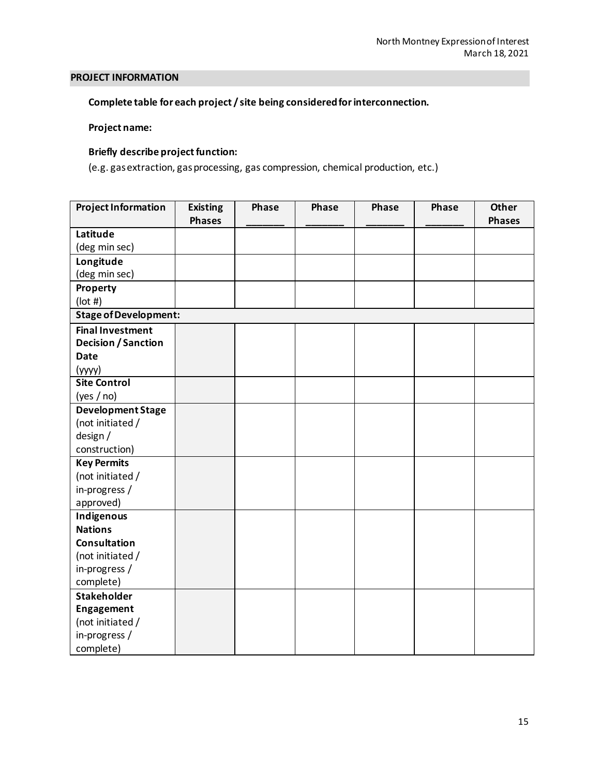## **PROJECT INFORMATION**

# **Complete table for each project / site being considered for interconnection.**

#### **Project name:**

## **Briefly describe project function:**

(e.g. gas extraction, gas processing, gas compression, chemical production, etc.)

| <b>Project Information</b>   | <b>Existing</b> | Phase | Phase | Phase | Phase | <b>Other</b>  |
|------------------------------|-----------------|-------|-------|-------|-------|---------------|
|                              | <b>Phases</b>   |       |       |       |       | <b>Phases</b> |
| Latitude                     |                 |       |       |       |       |               |
| (deg min sec)                |                 |       |       |       |       |               |
| Longitude                    |                 |       |       |       |       |               |
| (deg min sec)                |                 |       |       |       |       |               |
| Property                     |                 |       |       |       |       |               |
| $($ lot # $)$                |                 |       |       |       |       |               |
| <b>Stage of Development:</b> |                 |       |       |       |       |               |
| <b>Final Investment</b>      |                 |       |       |       |       |               |
| Decision / Sanction          |                 |       |       |       |       |               |
| <b>Date</b>                  |                 |       |       |       |       |               |
| (yyyy)                       |                 |       |       |       |       |               |
| <b>Site Control</b>          |                 |       |       |       |       |               |
| (yes / no)                   |                 |       |       |       |       |               |
| <b>Development Stage</b>     |                 |       |       |       |       |               |
| (not initiated /             |                 |       |       |       |       |               |
| design /                     |                 |       |       |       |       |               |
| construction)                |                 |       |       |       |       |               |
| <b>Key Permits</b>           |                 |       |       |       |       |               |
| (not initiated /             |                 |       |       |       |       |               |
| in-progress /                |                 |       |       |       |       |               |
| approved)                    |                 |       |       |       |       |               |
| Indigenous                   |                 |       |       |       |       |               |
| <b>Nations</b>               |                 |       |       |       |       |               |
| Consultation                 |                 |       |       |       |       |               |
| (not initiated /             |                 |       |       |       |       |               |
| in-progress /                |                 |       |       |       |       |               |
| complete)                    |                 |       |       |       |       |               |
| <b>Stakeholder</b>           |                 |       |       |       |       |               |
| Engagement                   |                 |       |       |       |       |               |
| (not initiated /             |                 |       |       |       |       |               |
| in-progress /                |                 |       |       |       |       |               |
| complete)                    |                 |       |       |       |       |               |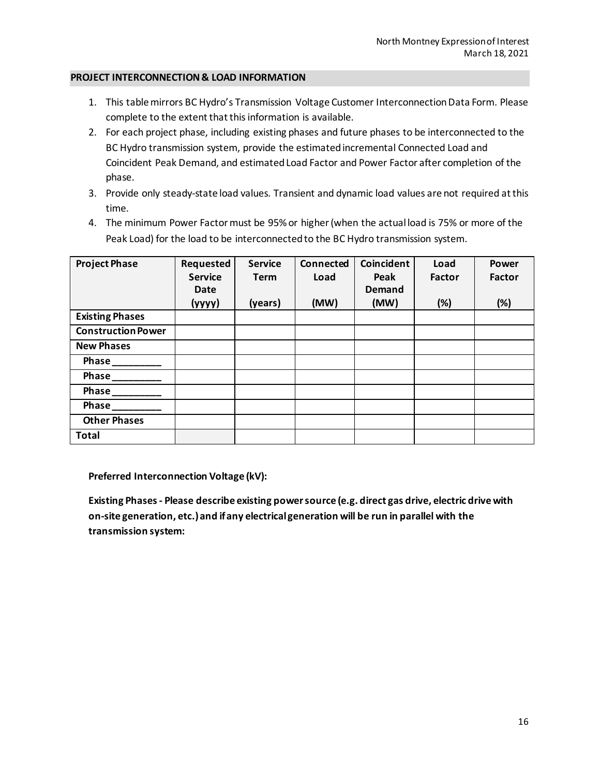#### **PROJECT INTERCONNECTION& LOAD INFORMATION**

- 1. This table mirrors BC Hydro's Transmission Voltage Customer Interconnection Data Form. Please complete to the extent that this information is available.
- 2. For each project phase, including existing phases and future phases to be interconnected to the BC Hydro transmission system, provide the estimated incremental Connected Load and Coincident Peak Demand, and estimated Load Factor and Power Factor after completion of the phase.
- 3. Provide only steady-state load values. Transient and dynamic load values are not required at this time.
- 4. The minimum Power Factor must be 95% or higher (when the actual load is 75% or more of the Peak Load) for the load to be interconnected to the BC Hydro transmission system.

| <b>Project Phase</b>      | Requested      | <b>Service</b> | <b>Connected</b> | Coincident    | Load   | <b>Power</b>  |
|---------------------------|----------------|----------------|------------------|---------------|--------|---------------|
|                           | <b>Service</b> | <b>Term</b>    | Load             | Peak          | Factor | <b>Factor</b> |
|                           | Date           |                |                  | <b>Demand</b> |        |               |
|                           | (yyyy)         | (years)        | (MW)             | (MW)          | (%)    | (%)           |
| <b>Existing Phases</b>    |                |                |                  |               |        |               |
| <b>Construction Power</b> |                |                |                  |               |        |               |
| <b>New Phases</b>         |                |                |                  |               |        |               |
| Phase                     |                |                |                  |               |        |               |
| Phase                     |                |                |                  |               |        |               |
| Phase                     |                |                |                  |               |        |               |
| Phase                     |                |                |                  |               |        |               |
| <b>Other Phases</b>       |                |                |                  |               |        |               |
| <b>Total</b>              |                |                |                  |               |        |               |

**Preferred Interconnection Voltage (kV):**

**Existing Phases- Please describe existing power source (e.g. direct gas drive, electric drive with on-site generation, etc.)and if any electrical generation will be run in parallel with the transmission system:**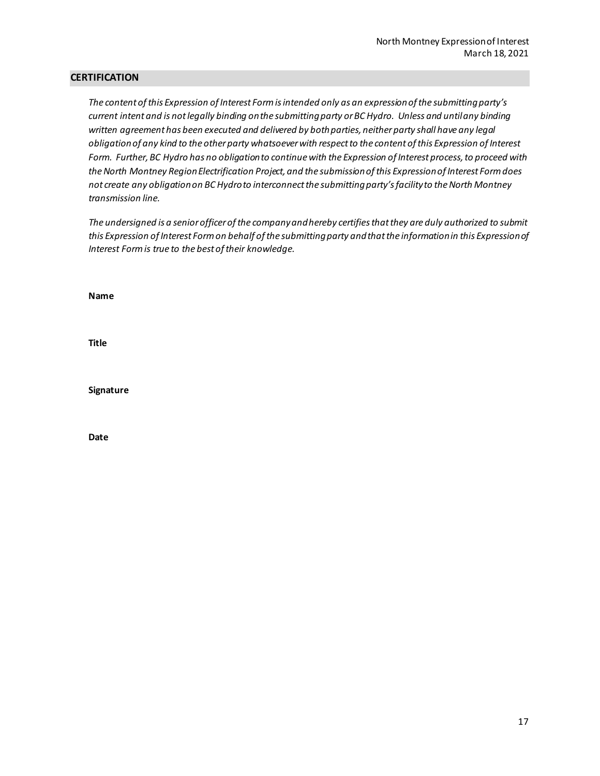#### **CERTIFICATION**

*The content of this Expression of Interest Form is intended only as an expression of the submitting party's current intent and is not legally binding on the submitting party or BC Hydro. Unless and until any binding written agreement has been executed and delivered by both parties, neither party shall have any legal obligation of any kind to the other party whatsoever with respect to the content of this Expression of Interest Form. Further, BC Hydro has no obligation to continue with the Expression of Interest process, to proceed with theNorth Montney Region Electrification Project, and the submission of this Expression of Interest Form does not create any obligation on BC Hydro to interconnect the submitting party's facility to the North Montney transmission line.*

*The undersigned is a senior officer of the company and hereby certifies that they are duly authorized to submit*  this Expression of Interest Form on behalf of the submitting party and that the information in this Expression of *Interest Form is true to the best of their knowledge.*

**Name**

**Title**

**Signature**

**Date**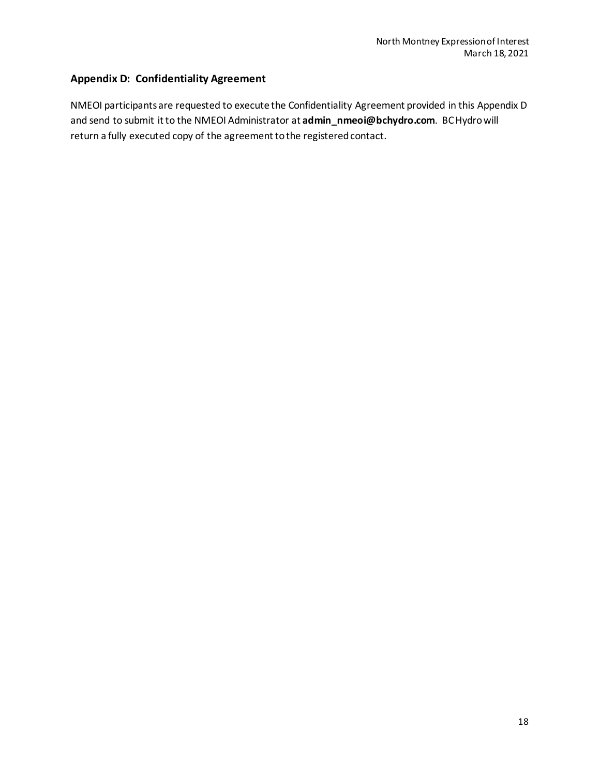# <span id="page-19-0"></span>**Appendix D: Confidentiality Agreement**

NMEOI participantsare requested to execute the Confidentiality Agreement provided in this Appendix D and send to submit it to the NMEOI Administrator at **[admin\\_nmeoi@bchydro.com](mailto:admin_nmeoi@bchydro.com)**. BC Hydro will return a fully executed copy of the agreement to the registered contact.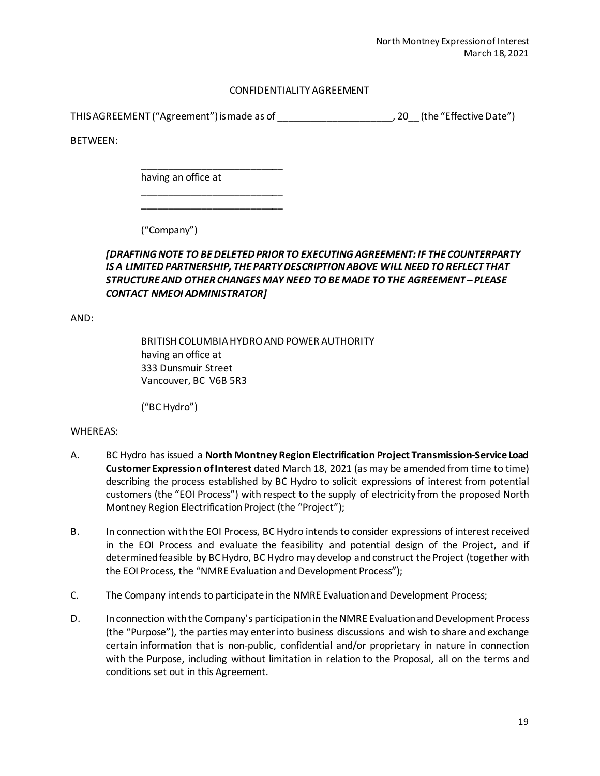#### CONFIDENTIALITY AGREEMENT

THIS AGREEMENT ("Agreement") is made as of \_\_\_\_\_\_\_\_\_\_\_\_\_\_\_\_\_\_\_\_\_, 20\_\_ (the "Effective Date")

BETWEEN:

having an office at

\_\_\_\_\_\_\_\_\_\_\_\_\_\_\_\_\_\_\_\_\_\_\_\_\_\_

\_\_\_\_\_\_\_\_\_\_\_\_\_\_\_\_\_\_\_\_\_\_\_\_\_\_ \_\_\_\_\_\_\_\_\_\_\_\_\_\_\_\_\_\_\_\_\_\_\_\_\_\_

("Company")

# *[DRAFTING NOTE TO BE DELETED PRIOR TO EXECUTING AGREEMENT: IF THE COUNTERPARTY IS A LIMITED PARTNERSHIP, THE PARTY DESCRIPTION ABOVE WILL NEED TO REFLECT THAT STRUCTURE AND OTHER CHANGES MAY NEED TO BE MADE TO THE AGREEMENT – PLEASE CONTACT NMEOI ADMINISTRATOR]*

AND:

BRITISH COLUMBIA HYDRO AND POWER AUTHORITY having an office at 333 Dunsmuir Street Vancouver, BC V6B 5R3

("BC Hydro")

#### WHEREAS:

- A. BC Hydro has issued a **North Montney Region Electrification Project Transmission-Service Load Customer Expression of Interest** dated March 18, 2021 (as may be amended from time to time) describing the process established by BC Hydro to solicit expressions of interest from potential customers (the "EOI Process") with respect to the supply of electricity from the proposed North Montney Region Electrification Project (the "Project");
- B. In connection with the EOI Process, BC Hydro intends to consider expressions of interest received in the EOI Process and evaluate the feasibility and potential design of the Project, and if determined feasible by BC Hydro, BC Hydro may develop and construct the Project (together with the EOI Process, the "NMRE Evaluation and Development Process");
- C. The Company intends to participate in the NMRE Evaluation and Development Process;
- D. In connection with the Company's participation in the NMRE Evaluation and Development Process (the "Purpose"), the parties may enter into business discussions and wish to share and exchange certain information that is non-public, confidential and/or proprietary in nature in connection with the Purpose, including without limitation in relation to the Proposal, all on the terms and conditions set out in this Agreement.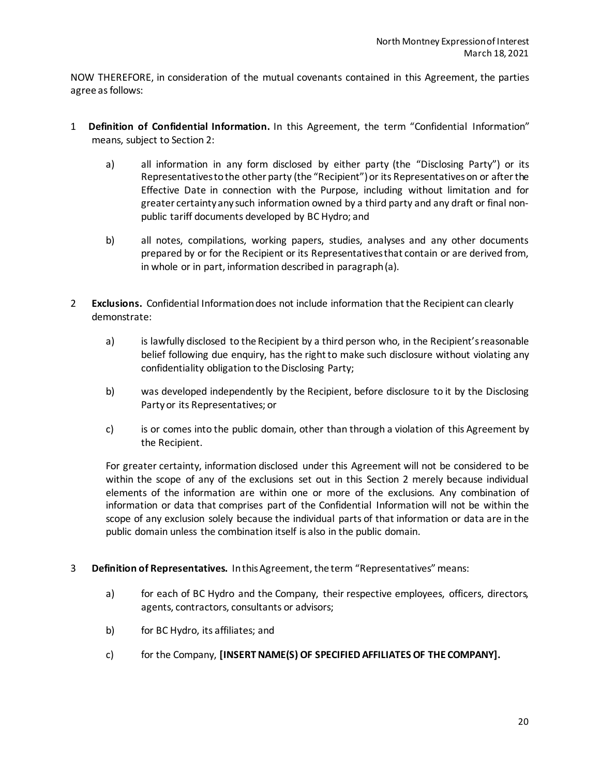NOW THEREFORE, in consideration of the mutual covenants contained in this Agreement, the parties agree as follows:

- <span id="page-21-1"></span>1 **Definition of Confidential Information.** In this Agreement, the term "Confidential Information" means, subject to Sectio[n 2:](#page-21-0)
	- a) all information in any form disclosed by either party (the "Disclosing Party") or its Representatives to the other party (the "Recipient") or its Representatives on or after the Effective Date in connection with the Purpose, including without limitation and for greater certaintyany such information owned by a third party and any draft or final nonpublic tariff documents developed by BC Hydro; and
	- b) all notes, compilations, working papers, studies, analyses and any other documents prepared by or for the Recipient or its Representatives that contain or are derived from, in whole or in part, information described in paragrap[h \(a\).](#page-21-1)
- <span id="page-21-2"></span><span id="page-21-0"></span>2 **Exclusions.** Confidential Information does not include information that the Recipient can clearly demonstrate:
	- a) is lawfully disclosed to the Recipient by a third person who, in the Recipient's reasonable belief following due enquiry, has the right to make such disclosure without violating any confidentiality obligation to the Disclosing Party;
	- b) was developed independently by the Recipient, before disclosure to it by the Disclosing Party or its Representatives; or
	- c) is or comes into the public domain, other than through a violation of this Agreement by the Recipient.

For greater certainty, information disclosed under this Agreement will not be considered to be within the scope of any of the exclusions set out in this Section [2](#page-21-0) merely because individual elements of the information are within one or more of the exclusions. Any combination of information or data that comprises part of the Confidential Information will not be within the scope of any exclusion solely because the individual parts of that information or data are in the public domain unless the combination itself is also in the public domain.

- 3 **Definition of Representatives.** In this Agreement, the term "Representatives" means:
	- a) for each of BC Hydro and the Company, their respective employees, officers, directors, agents, contractors, consultants or advisors;
	- b) for BC Hydro, its affiliates; and
	- c) for the Company, **[INSERT NAME(S) OF SPECIFIED AFFILIATES OF THE COMPANY].**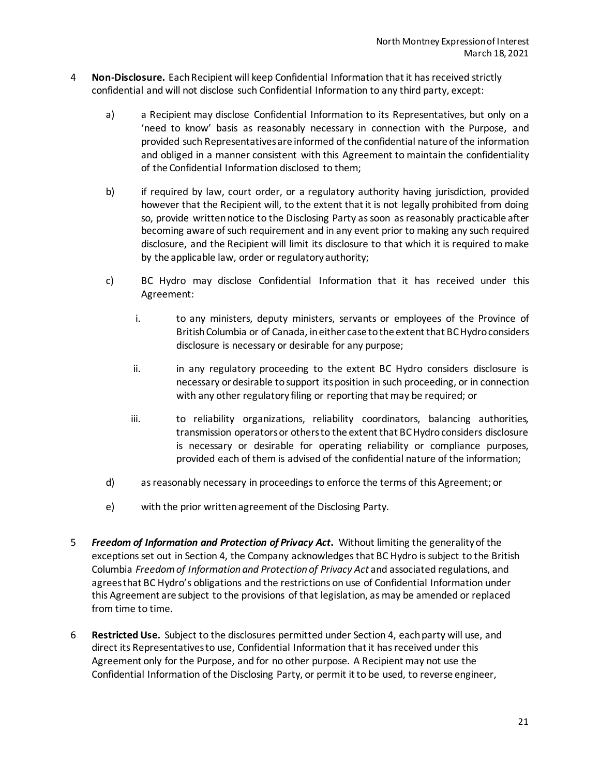- <span id="page-22-0"></span>4 **Non-Disclosure.** Each Recipient will keep Confidential Information that it has received strictly confidential and will not disclose such Confidential Information to any third party, except:
	- a) a Recipient may disclose Confidential Information to its Representatives, but only on a 'need to know' basis as reasonably necessary in connection with the Purpose, and provided such Representatives are informed of the confidential nature of the information and obliged in a manner consistent with this Agreement to maintain the confidentiality of the Confidential Information disclosed to them;
	- b) if required by law, court order, or a regulatory authority having jurisdiction, provided however that the Recipient will, to the extent that it is not legally prohibited from doing so, provide written notice to the Disclosing Party as soon as reasonably practicable after becoming aware of such requirement and in any event prior to making any such required disclosure, and the Recipient will limit its disclosure to that which it is required to make by the applicable law, order or regulatory authority;
	- c) BC Hydro may disclose Confidential Information that it has received under this Agreement:
		- i. to any ministers, deputy ministers, servants or employees of the Province of British Columbia or of Canada, in either case to the extent that BC Hydro considers disclosure is necessary or desirable for any purpose;
		- ii. in any regulatory proceeding to the extent BC Hydro considers disclosure is necessary or desirable to support its position in such proceeding, or in connection with any other regulatory filing or reporting that may be required; or
		- iii. to reliability organizations, reliability coordinators, balancing authorities, transmission operators or others to the extent that BC Hydro considers disclosure is necessary or desirable for operating reliability or compliance purposes, provided each of them is advised of the confidential nature of the information;
	- d) as reasonably necessary in proceedings to enforce the terms of this Agreement; or
	- e) with the prior written agreement of the Disclosing Party.
- 5 *Freedom of Information and Protection of Privacy Act***.** Without limiting the generality of the exceptions set out in Section [4,](#page-22-0) the Company acknowledges that BC Hydro is subject to the British Columbia *Freedom of Information and Protection of Privacy Act* and associated regulations, and agrees that BC Hydro's obligations and the restrictions on use of Confidential Information under this Agreement are subject to the provisions of that legislation, as may be amended or replaced from time to time.
- 6 **Restricted Use.** Subject to the disclosures permitted under Section [4,](#page-22-0) each party will use, and direct its Representatives to use, Confidential Information that it has received under this Agreement only for the Purpose, and for no other purpose. A Recipient may not use the Confidential Information of the Disclosing Party, or permit it to be used, to reverse engineer,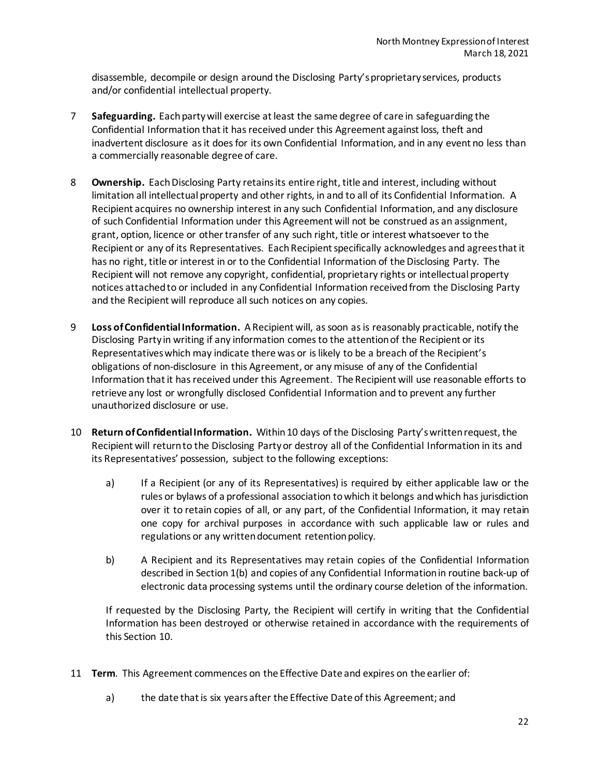disassemble, decompile or design around the Disclosing Party's proprietary services, products and/or confidential intellectual property.

- 7 **Safeguarding.** Each party will exercise at least the same degree of care in safeguarding the Confidential Information that it has received under this Agreement against loss, theft and inadvertent disclosure as it does for its own Confidential Information, and in any event no less than a commercially reasonable degree of care.
- 8 **Ownership.** Each Disclosing Party retains its entire right, title and interest, including without limitation all intellectual property and other rights, in and to all of its Confidential Information. A Recipient acquires no ownership interest in any such Confidential Information, and any disclosure of such Confidential Information under this Agreement will not be construed as an assignment, grant, option, licence or other transfer of any such right, title or interest whatsoever to the Recipient or any of its Representatives. Each Recipient specifically acknowledges and agrees that it has no right, title or interest in or to the Confidential Information of the Disclosing Party. The Recipient will not remove any copyright, confidential, proprietary rights or intellectual property notices attached to or included in any Confidential Information received from the Disclosing Party and the Recipient will reproduce all such notices on any copies.
- 9 **Loss of Confidential Information.** A Recipient will, as soon as is reasonably practicable, notify the Disclosing Party in writing if any information comes to the attention of the Recipient or its Representatives which may indicate there was or is likely to be a breach of the Recipient's obligations of non-disclosure in this Agreement, or any misuse of any of the Confidential Information that it has received under this Agreement. The Recipient will use reasonable efforts to retrieve any lost or wrongfully disclosed Confidential Information and to prevent any further unauthorized disclosure or use.
- <span id="page-23-0"></span>10 **Return of Confidential Information.** Within 10 days of the Disclosing Party's written request, the Recipient will return to the Disclosing Party or destroy all of the Confidential Information in its and its Representatives' possession, subject to the following exceptions:
	- a) If a Recipient (or any of its Representatives) is required by either applicable law or the rules or bylaws of a professional association to which it belongs and which has jurisdiction over it to retain copies of all, or any part, of the Confidential Information, it may retain one copy for archival purposes in accordance with such applicable law or rules and regulations or any written document retention policy.
	- b) A Recipient and its Representatives may retain copies of the Confidential Information described in Sectio[n 1\(b\)](#page-21-2) and copies of any Confidential Information in routine back-up of electronic data processing systems until the ordinary course deletion of the information.

If requested by the Disclosing Party, the Recipient will certify in writing that the Confidential Information has been destroyed or otherwise retained in accordance with the requirements of this Section [10.](#page-23-0)

- 11 **Term**. This Agreement commences on the Effective Date and expires on the earlier of:
	- a) the date that is six years after the Effective Date of this Agreement; and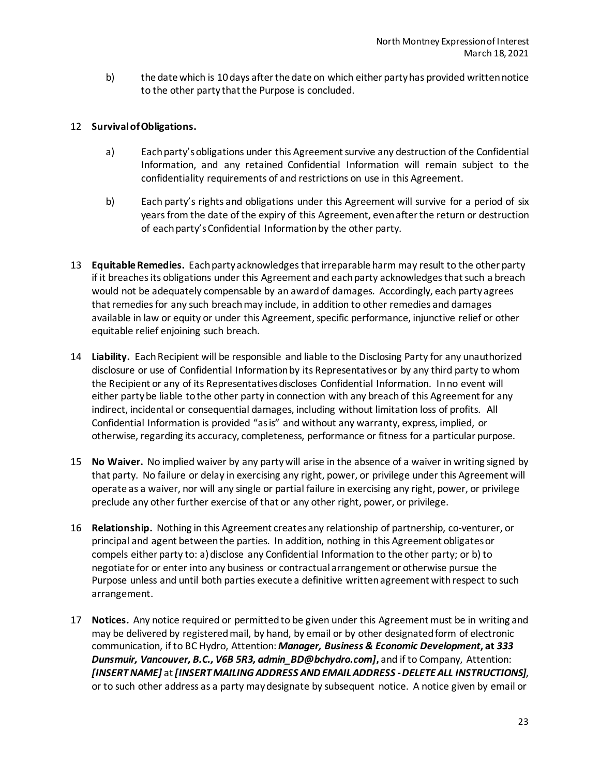b) the date which is 10 days after the date on which either party has provided written notice to the other party that the Purpose is concluded.

#### 12 **Survival of Obligations.**

- a) Each party's obligations under this Agreement survive any destruction of the Confidential Information, and any retained Confidential Information will remain subject to the confidentiality requirements of and restrictions on use in this Agreement.
- b) Each party's rights and obligations under this Agreement will survive for a period of six years from the date of the expiry of this Agreement, even after the return or destruction of each party's Confidential Information by the other party.
- 13 **Equitable Remedies.** Each party acknowledges that irreparable harm may result to the other party if it breaches its obligations under this Agreement and each party acknowledges that such a breach would not be adequately compensable by an award of damages. Accordingly, each party agrees that remedies for any such breach may include, in addition to other remedies and damages available in law or equity or under this Agreement, specific performance, injunctive relief or other equitable relief enjoining such breach.
- 14 **Liability.** Each Recipient will be responsible and liable to the Disclosing Party for any unauthorized disclosure or use of Confidential Information by its Representatives or by any third party to whom the Recipient or any of its Representatives discloses Confidential Information. In no event will either party be liable to the other party in connection with any breach of this Agreement for any indirect, incidental or consequential damages, including without limitation loss of profits. All Confidential Information is provided "as is" and without any warranty, express, implied, or otherwise, regarding its accuracy, completeness, performance or fitness for a particular purpose.
- 15 **No Waiver.** No implied waiver by any party will arise in the absence of a waiver in writing signed by that party. No failure or delay in exercising any right, power, or privilege under this Agreement will operate as a waiver, nor will any single or partial failure in exercising any right, power, or privilege preclude any other further exercise of that or any other right, power, or privilege.
- 16 **Relationship.** Nothing in this Agreement creates any relationship of partnership, co-venturer, or principal and agent between the parties. In addition, nothing in this Agreement obligates or compels either party to: a) disclose any Confidential Information to the other party; or b) to negotiate for or enter into any business or contractual arrangement or otherwise pursue the Purpose unless and until both parties execute a definitive written agreement with respect to such arrangement.
- 17 **Notices.** Any notice required or permitted to be given under this Agreement must be in writing and may be delivered by registered mail, by hand, by email or by other designated form of electronic communication, if to BC Hydro, Attention: *Manager, Business & Economic Development***, at** *333 Dunsmuir, Vancouver, B.C., V6B 5R3, admin\_BD@bchydro.com]***,** and if to Company, Attention: *[INSERT NAME]* at *[INSERT MAILING ADDRESS AND EMAIL ADDRESS -DELETE ALL INSTRUCTIONS]*, or to such other address as a party may designate by subsequent notice. A notice given by email or